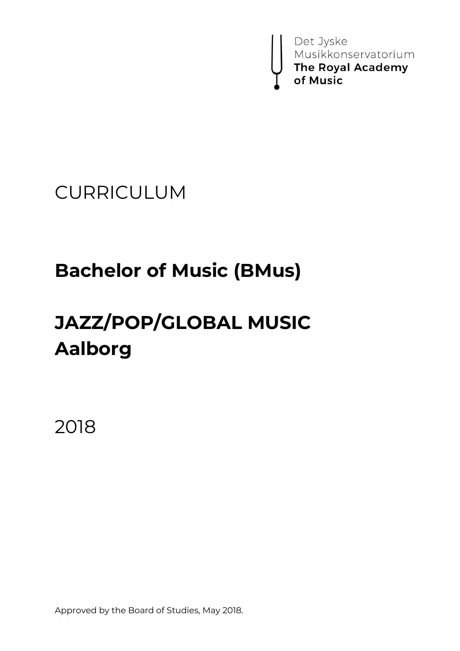

## CURRICULUM

# **Bachelor of Music (BMus)**

# **JAZZ/POP/GLOBAL MUSIC Aalborg**

2018

Approved by the Board of Studies, May 2018.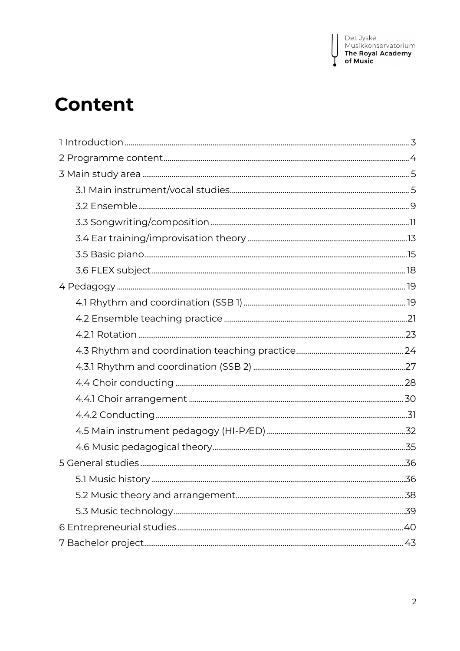I

# **Content**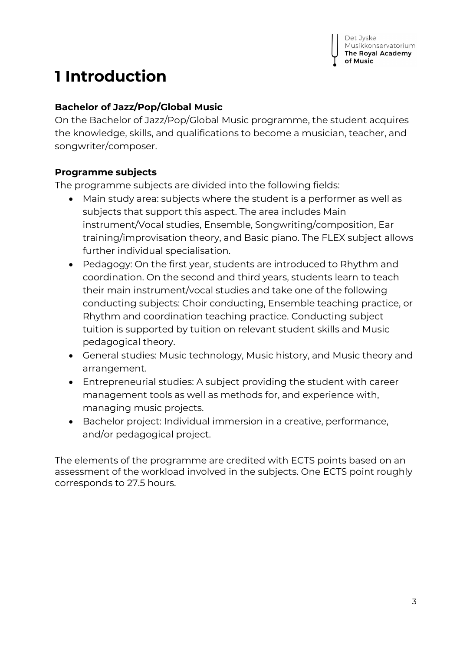## <span id="page-2-0"></span>**1 Introduction**

### **Bachelor of Jazz/Pop/Global Music**

On the Bachelor of Jazz/Pop/Global Music programme, the student acquires the knowledge, skills, and qualifications to become a musician, teacher, and songwriter/composer.

#### **Programme subjects**

The programme subjects are divided into the following fields:

- Main study area: subjects where the student is a performer as well as subjects that support this aspect. The area includes Main instrument/Vocal studies, Ensemble, Songwriting/composition, Ear training/improvisation theory, and Basic piano. The FLEX subject allows further individual specialisation.
- Pedagogy: On the first year, students are introduced to Rhythm and coordination. On the second and third years, students learn to teach their main instrument/vocal studies and take one of the following conducting subjects: Choir conducting, Ensemble teaching practice, or Rhythm and coordination teaching practice. Conducting subject tuition is supported by tuition on relevant student skills and Music pedagogical theory.
- General studies: Music technology, Music history, and Music theory and arrangement.
- Entrepreneurial studies: A subject providing the student with career management tools as well as methods for, and experience with, managing music projects.
- Bachelor project: Individual immersion in a creative, performance, and/or pedagogical project.

The elements of the programme are credited with ECTS points based on an assessment of the workload involved in the subjects. One ECTS point roughly corresponds to 27.5 hours.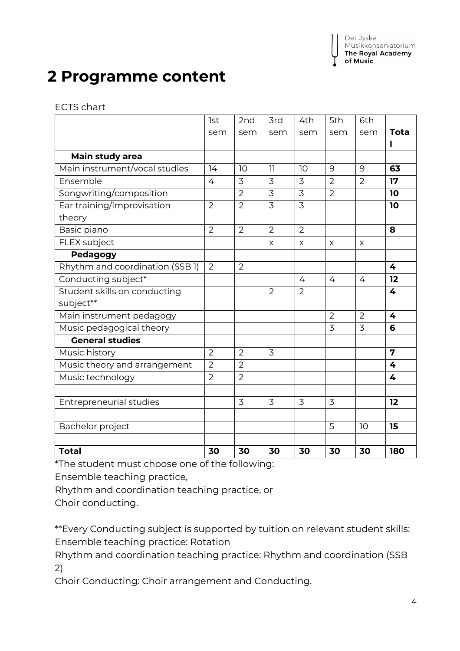Det Jyske Musikkonservatorium The Royal Academy of Music

## <span id="page-3-0"></span>**2 Programme content**

ECTS chart

|                                 | <b>lst</b>     | 2nd            | 3rd            | 4th            | 5th            | 6th            |                |
|---------------------------------|----------------|----------------|----------------|----------------|----------------|----------------|----------------|
|                                 | sem            | sem            | sem            | sem            | sem            | sem            | <b>Tota</b>    |
|                                 |                |                |                |                |                |                | ı              |
| Main study area                 |                |                |                |                |                |                |                |
| Main instrument/vocal studies   | 14             | 10             | 11             | 10             | 9              | 9              | 63             |
| Ensemble                        | 4              | 3              | $\overline{3}$ | $\overline{3}$ | $\overline{2}$ | $\overline{2}$ | 17             |
| Songwriting/composition         |                | $\overline{2}$ | 3              | $\overline{3}$ | $\overline{2}$ |                | 10             |
| Ear training/improvisation      | $\overline{2}$ | $\overline{2}$ | 3              | $\overline{3}$ |                |                | 10             |
| theory                          |                |                |                |                |                |                |                |
| Basic piano                     | $\overline{2}$ | $\overline{2}$ | $\overline{2}$ | $\overline{2}$ |                |                | 8              |
| FLEX subject                    |                |                | $\pmb{\times}$ | $\pmb{\times}$ | X              | X              |                |
| Pedagogy                        |                |                |                |                |                |                |                |
| Rhythm and coordination (SSB 1) | 2              | $\overline{2}$ |                |                |                |                | 4              |
| Conducting subject*             |                |                |                | $\overline{4}$ | 4              | 4              | 12             |
| Student skills on conducting    |                |                | $\overline{2}$ | $\overline{2}$ |                |                | 4              |
| subject**                       |                |                |                |                |                |                |                |
| Main instrument pedagogy        |                |                |                |                | $\overline{2}$ | $\overline{2}$ | 4              |
| Music pedagogical theory        |                |                |                |                | 3              | 3              | 6              |
| <b>General studies</b>          |                |                |                |                |                |                |                |
| Music history                   | $\overline{2}$ | $\overline{2}$ | 3              |                |                |                | $\overline{7}$ |
| Music theory and arrangement    | $\overline{2}$ | $\overline{2}$ |                |                |                |                | 4              |
| Music technology                | $\overline{2}$ | $\overline{2}$ |                |                |                |                | 4              |
|                                 |                |                |                |                |                |                |                |
| <b>Entrepreneurial studies</b>  |                | $\overline{3}$ | 3              | $\overline{3}$ | 3              |                | 12             |
|                                 |                |                |                |                |                |                |                |
| Bachelor project                |                |                |                |                | 5              | 10             | 15             |
|                                 |                |                |                |                |                |                |                |
| <b>Total</b>                    | 30             | 30             | 30             | 30             | 30             | 30             | 180            |

\*The student must choose one of the following:

Ensemble teaching practice,

Rhythm and coordination teaching practice, or

Choir conducting.

\*\*Every Conducting subject is supported by tuition on relevant student skills: Ensemble teaching practice: Rotation

Rhythm and coordination teaching practice: Rhythm and coordination (SSB 2)

Choir Conducting: Choir arrangement and Conducting.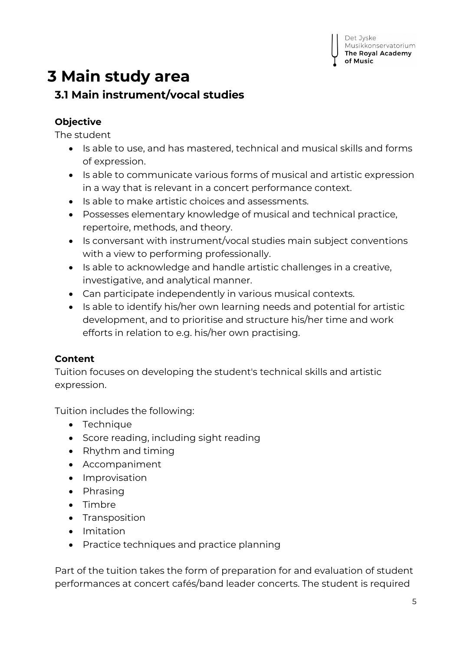#### Det Jyske Musikkonservatorium The Royal Academy

## <span id="page-4-1"></span><span id="page-4-0"></span>**3 Main study area 3.1 Main instrument/vocal studies**

## **Objective**

The student

- Is able to use, and has mastered, technical and musical skills and forms of expression.
- Is able to communicate various forms of musical and artistic expression in a way that is relevant in a concert performance context.
- Is able to make artistic choices and assessments.
- Possesses elementary knowledge of musical and technical practice, repertoire, methods, and theory.
- Is conversant with instrument/vocal studies main subject conventions with a view to performing professionally.
- Is able to acknowledge and handle artistic challenges in a creative, investigative, and analytical manner.
- Can participate independently in various musical contexts.
- Is able to identify his/her own learning needs and potential for artistic development, and to prioritise and structure his/her time and work efforts in relation to e.g. his/her own practising.

## **Content**

Tuition focuses on developing the student's technical skills and artistic expression.

Tuition includes the following:

- Technique
- Score reading, including sight reading
- Rhythm and timing
- Accompaniment
- Improvisation
- Phrasing
- Timbre
- Transposition
- Imitation
- Practice techniques and practice planning

Part of the tuition takes the form of preparation for and evaluation of student performances at concert cafés/band leader concerts. The student is required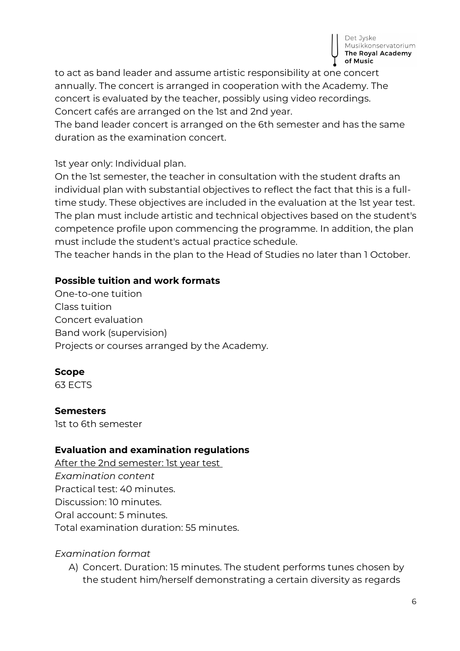

to act as band leader and assume artistic responsibility at one concert annually. The concert is arranged in cooperation with the Academy. The concert is evaluated by the teacher, possibly using video recordings. Concert cafés are arranged on the 1st and 2nd year.

The band leader concert is arranged on the 6th semester and has the same duration as the examination concert.

1st year only: Individual plan.

On the 1st semester, the teacher in consultation with the student drafts an individual plan with substantial objectives to reflect the fact that this is a fulltime study. These objectives are included in the evaluation at the 1st year test. The plan must include artistic and technical objectives based on the student's competence profile upon commencing the programme. In addition, the plan must include the student's actual practice schedule.

The teacher hands in the plan to the Head of Studies no later than 1 October.

#### **Possible tuition and work formats**

One-to-one tuition Class tuition Concert evaluation Band work (supervision) Projects or courses arranged by the Academy.

#### **Scope**

63 ECTS

#### **Semesters**

1st to 6th semester

#### **Evaluation and examination regulations**

After the 2nd semester: 1st year test *Examination content* Practical test: 40 minutes. Discussion: 10 minutes. Oral account: 5 minutes. Total examination duration: 55 minutes.

#### *Examination format*

A) Concert. Duration: 15 minutes. The student performs tunes chosen by the student him/herself demonstrating a certain diversity as regards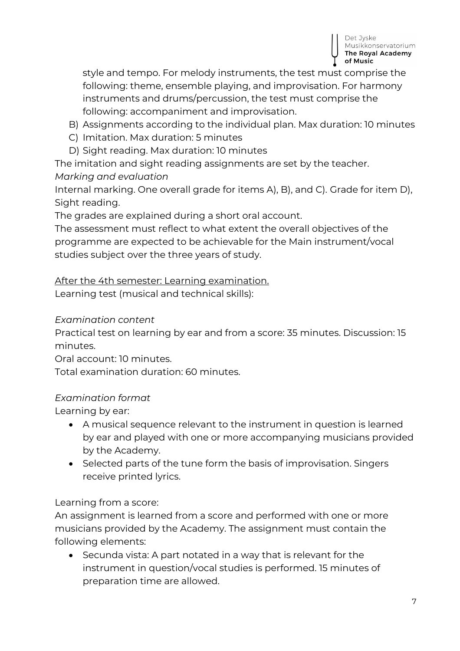

style and tempo. For melody instruments, the test must comprise the following: theme, ensemble playing, and improvisation. For harmony instruments and drums/percussion, the test must comprise the following: accompaniment and improvisation.

- B) Assignments according to the individual plan. Max duration: 10 minutes
- C) Imitation. Max duration: 5 minutes
- D) Sight reading. Max duration: 10 minutes

The imitation and sight reading assignments are set by the teacher.

#### *Marking and evaluation*

Internal marking. One overall grade for items A), B), and C). Grade for item D), Sight reading.

The grades are explained during a short oral account.

The assessment must reflect to what extent the overall objectives of the programme are expected to be achievable for the Main instrument/vocal studies subject over the three years of study.

#### After the 4th semester: Learning examination.

Learning test (musical and technical skills):

#### *Examination content*

Practical test on learning by ear and from a score: 35 minutes. Discussion: 15 minutes.

Oral account: 10 minutes.

Total examination duration: 60 minutes.

#### *Examination format*

Learning by ear:

- A musical sequence relevant to the instrument in question is learned by ear and played with one or more accompanying musicians provided by the Academy.
- Selected parts of the tune form the basis of improvisation. Singers receive printed lyrics.

#### Learning from a score:

An assignment is learned from a score and performed with one or more musicians provided by the Academy. The assignment must contain the following elements:

• Secunda vista: A part notated in a way that is relevant for the instrument in question/vocal studies is performed. 15 minutes of preparation time are allowed.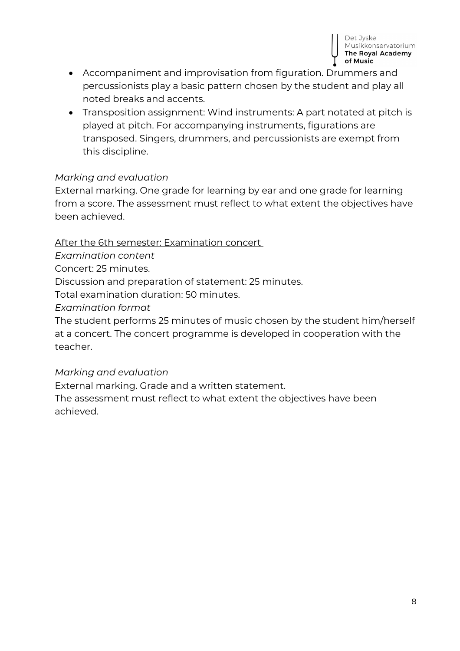

- Accompaniment and improvisation from figuration. Drummers and percussionists play a basic pattern chosen by the student and play all noted breaks and accents.
- Transposition assignment: Wind instruments: A part notated at pitch is played at pitch. For accompanying instruments, figurations are transposed. Singers, drummers, and percussionists are exempt from this discipline.

#### *Marking and evaluation*

External marking. One grade for learning by ear and one grade for learning from a score. The assessment must reflect to what extent the objectives have been achieved.

After the 6th semester: Examination concert

*Examination content*

Concert: 25 minutes.

Discussion and preparation of statement: 25 minutes.

Total examination duration: 50 minutes.

*Examination format*

The student performs 25 minutes of music chosen by the student him/herself at a concert. The concert programme is developed in cooperation with the teacher.

#### *Marking and evaluation*

External marking. Grade and a written statement.

The assessment must reflect to what extent the objectives have been achieved.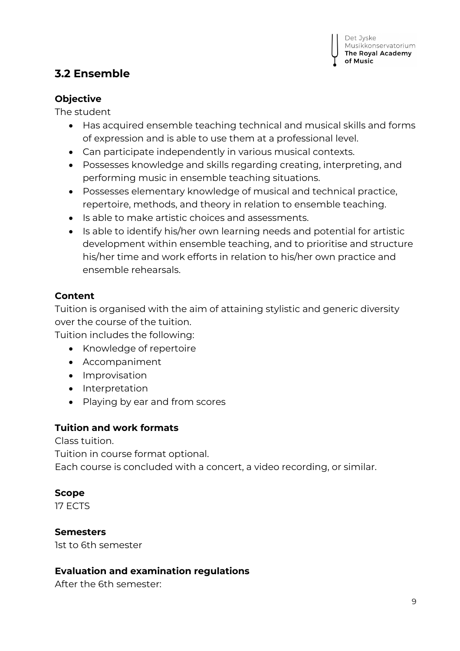## <span id="page-8-0"></span>**3.2 Ensemble**

#### **Objective**

The student

- Has acquired ensemble teaching technical and musical skills and forms of expression and is able to use them at a professional level.
- Can participate independently in various musical contexts.
- Possesses knowledge and skills regarding creating, interpreting, and performing music in ensemble teaching situations.
- Possesses elementary knowledge of musical and technical practice, repertoire, methods, and theory in relation to ensemble teaching.
- Is able to make artistic choices and assessments.
- Is able to identify his/her own learning needs and potential for artistic development within ensemble teaching, and to prioritise and structure his/her time and work efforts in relation to his/her own practice and ensemble rehearsals.

#### **Content**

Tuition is organised with the aim of attaining stylistic and generic diversity over the course of the tuition.

Tuition includes the following:

- Knowledge of repertoire
- Accompaniment
- Improvisation
- Interpretation
- Playing by ear and from scores

#### **Tuition and work formats**

Class tuition.

Tuition in course format optional.

Each course is concluded with a concert, a video recording, or similar.

#### **Scope**

17 ECTS

#### **Semesters**

1st to 6th semester

#### **Evaluation and examination regulations**

After the 6th semester: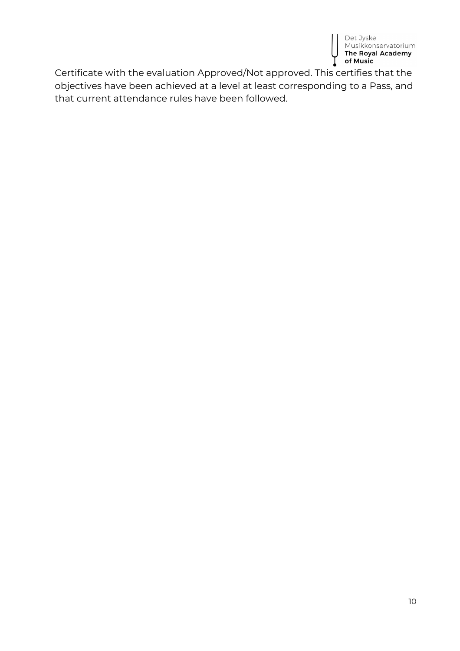

Certificate with the evaluation Approved/Not approved. This certifies that the objectives have been achieved at a level at least corresponding to a Pass, and that current attendance rules have been followed.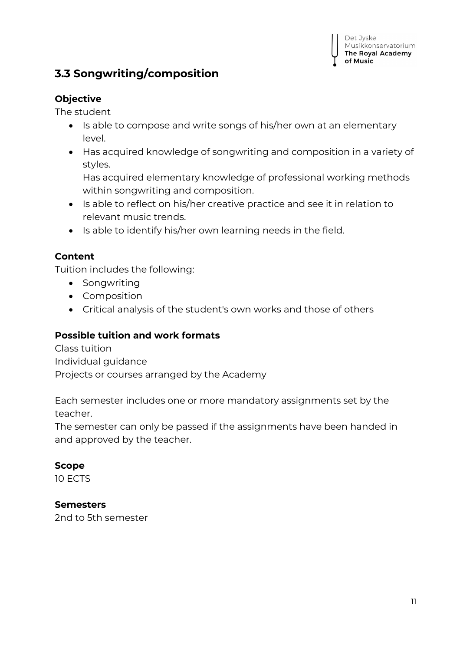

## <span id="page-10-0"></span>**3.3 Songwriting/composition**

#### **Objective**

The student

- Is able to compose and write songs of his/her own at an elementary level.
- Has acquired knowledge of songwriting and composition in a variety of styles.

Has acquired elementary knowledge of professional working methods within songwriting and composition.

- Is able to reflect on his/her creative practice and see it in relation to relevant music trends.
- Is able to identify his/her own learning needs in the field.

#### **Content**

Tuition includes the following:

- Songwriting
- Composition
- Critical analysis of the student's own works and those of others

#### **Possible tuition and work formats**

Class tuition Individual guidance Projects or courses arranged by the Academy

Each semester includes one or more mandatory assignments set by the teacher.

The semester can only be passed if the assignments have been handed in and approved by the teacher.

#### **Scope**

10 ECTS

#### **Semesters**

2nd to 5th semester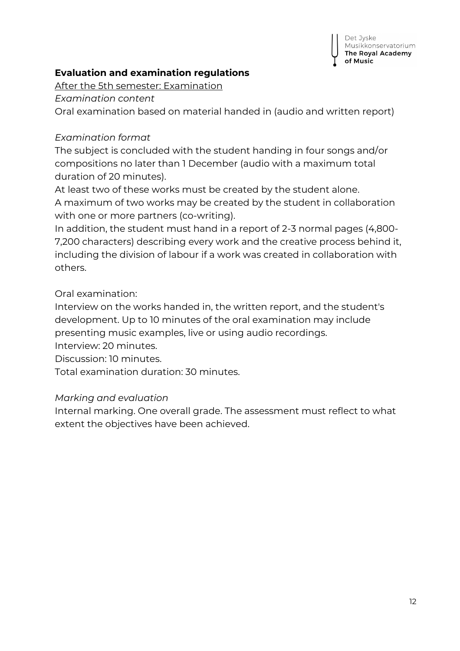

#### **Evaluation and examination regulations**

After the 5th semester: Examination

*Examination content*

Oral examination based on material handed in (audio and written report)

#### *Examination format*

The subject is concluded with the student handing in four songs and/or compositions no later than 1 December (audio with a maximum total duration of 20 minutes).

At least two of these works must be created by the student alone. A maximum of two works may be created by the student in collaboration with one or more partners (co-writing).

In addition, the student must hand in a report of 2-3 normal pages (4,800- 7,200 characters) describing every work and the creative process behind it, including the division of labour if a work was created in collaboration with others.

#### Oral examination:

Interview on the works handed in, the written report, and the student's development. Up to 10 minutes of the oral examination may include presenting music examples, live or using audio recordings.

Interview: 20 minutes.

Discussion: 10 minutes.

Total examination duration: 30 minutes.

#### *Marking and evaluation*

Internal marking. One overall grade. The assessment must reflect to what extent the objectives have been achieved.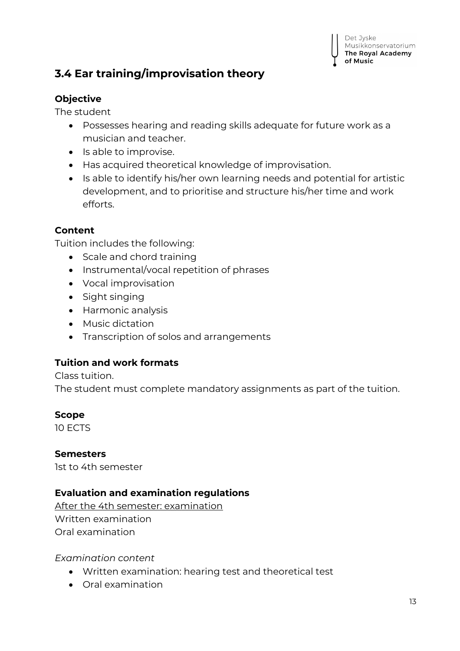

## <span id="page-12-0"></span>**3.4 Ear training/improvisation theory**

#### **Objective**

The student

- Possesses hearing and reading skills adequate for future work as a musician and teacher.
- Is able to improvise.
- Has acquired theoretical knowledge of improvisation.
- Is able to identify his/her own learning needs and potential for artistic development, and to prioritise and structure his/her time and work efforts.

#### **Content**

Tuition includes the following:

- Scale and chord training
- Instrumental/vocal repetition of phrases
- Vocal improvisation
- Sight singing
- Harmonic analysis
- Music dictation
- Transcription of solos and arrangements

#### **Tuition and work formats**

Class tuition.

The student must complete mandatory assignments as part of the tuition.

#### **Scope**

10 ECTS

#### **Semesters**

1st to 4th semester

#### **Evaluation and examination regulations**

After the 4th semester: examination Written examination Oral examination

*Examination content*

- Written examination: hearing test and theoretical test
- Oral examination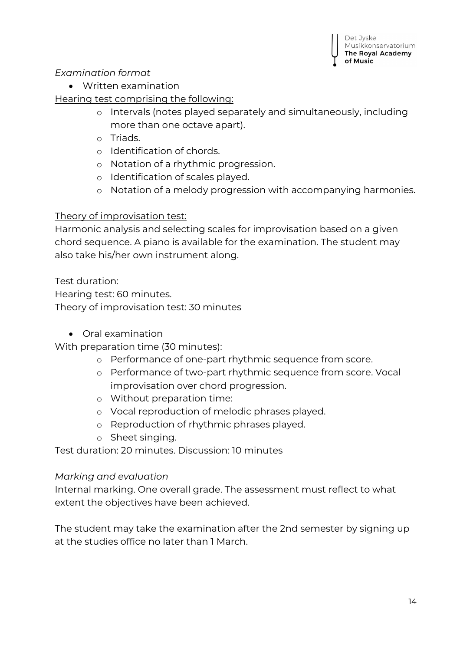#### *Examination format*

Written examination

Hearing test comprising the following:

- o Intervals (notes played separately and simultaneously, including more than one octave apart).
- o Triads.
- o Identification of chords.
- o Notation of a rhythmic progression.
- o Identification of scales played.
- o Notation of a melody progression with accompanying harmonies.

#### Theory of improvisation test:

Harmonic analysis and selecting scales for improvisation based on a given chord sequence. A piano is available for the examination. The student may also take his/her own instrument along.

Test duration:

Hearing test: 60 minutes.

Theory of improvisation test: 30 minutes

Oral examination

With preparation time (30 minutes):

- o Performance of one-part rhythmic sequence from score.
- o Performance of two-part rhythmic sequence from score. Vocal improvisation over chord progression.
- o Without preparation time:
- o Vocal reproduction of melodic phrases played.
- o Reproduction of rhythmic phrases played.
- o Sheet singing.

Test duration: 20 minutes. Discussion: 10 minutes

#### *Marking and evaluation*

Internal marking. One overall grade. The assessment must reflect to what extent the objectives have been achieved.

The student may take the examination after the 2nd semester by signing up at the studies office no later than 1 March.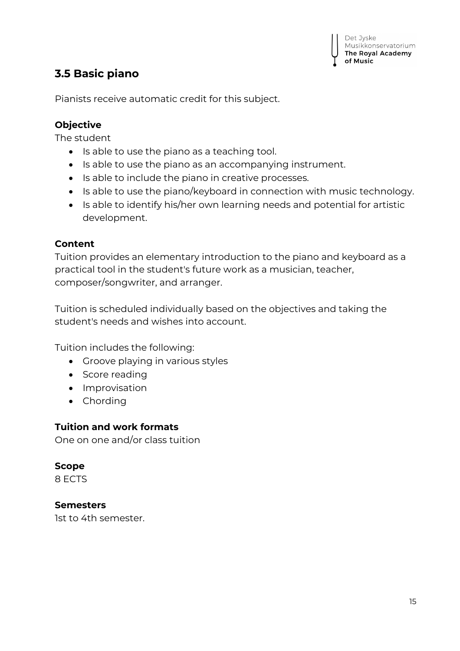## <span id="page-14-0"></span>**3.5 Basic piano**

Pianists receive automatic credit for this subject.

#### **Objective**

The student

- Is able to use the piano as a teaching tool.
- Is able to use the piano as an accompanying instrument.
- Is able to include the piano in creative processes.
- Is able to use the piano/keyboard in connection with music technology.
- Is able to identify his/her own learning needs and potential for artistic development.

#### **Content**

Tuition provides an elementary introduction to the piano and keyboard as a practical tool in the student's future work as a musician, teacher, composer/songwriter, and arranger.

Tuition is scheduled individually based on the objectives and taking the student's needs and wishes into account.

Tuition includes the following:

- Groove playing in various styles
- Score reading
- Improvisation
- Chording

#### **Tuition and work formats**

One on one and/or class tuition

## **Scope**

8 ECTS

#### **Semesters**

1st to 4th semester.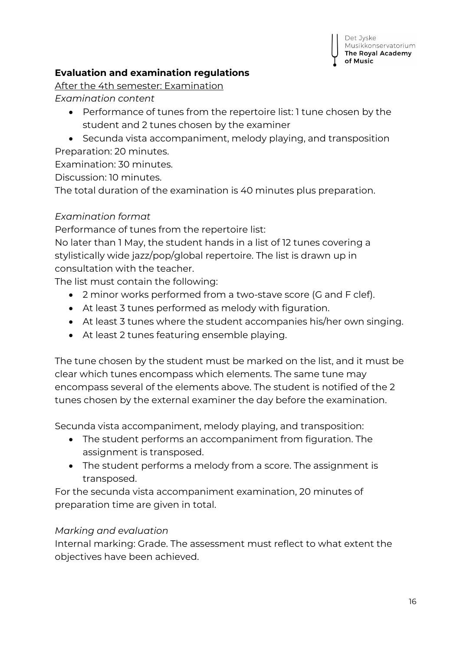

#### **Evaluation and examination regulations**

After the 4th semester: Examination

*Examination content*

- Performance of tunes from the repertoire list: 1 tune chosen by the student and 2 tunes chosen by the examiner
- Secunda vista accompaniment, melody playing, and transposition Preparation: 20 minutes.

Examination: 30 minutes.

Discussion: 10 minutes.

The total duration of the examination is 40 minutes plus preparation.

#### *Examination format*

Performance of tunes from the repertoire list:

No later than 1 May, the student hands in a list of 12 tunes covering a stylistically wide jazz/pop/global repertoire. The list is drawn up in consultation with the teacher.

The list must contain the following:

- 2 minor works performed from a two-stave score (G and F clef).
- At least 3 tunes performed as melody with figuration.
- At least 3 tunes where the student accompanies his/her own singing.
- At least 2 tunes featuring ensemble playing.

The tune chosen by the student must be marked on the list, and it must be clear which tunes encompass which elements. The same tune may encompass several of the elements above. The student is notified of the 2 tunes chosen by the external examiner the day before the examination.

Secunda vista accompaniment, melody playing, and transposition:

- The student performs an accompaniment from figuration. The assignment is transposed.
- The student performs a melody from a score. The assignment is transposed.

For the secunda vista accompaniment examination, 20 minutes of preparation time are given in total.

#### *Marking and evaluation*

Internal marking: Grade. The assessment must reflect to what extent the objectives have been achieved.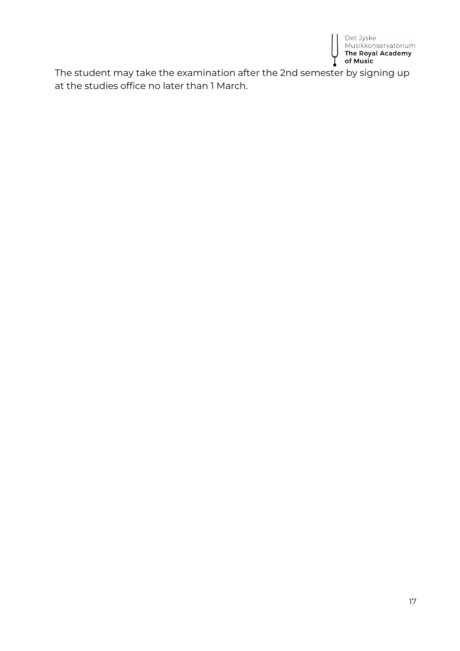

The student may take the examination after the 2nd semester by signing up at the studies office no later than 1 March.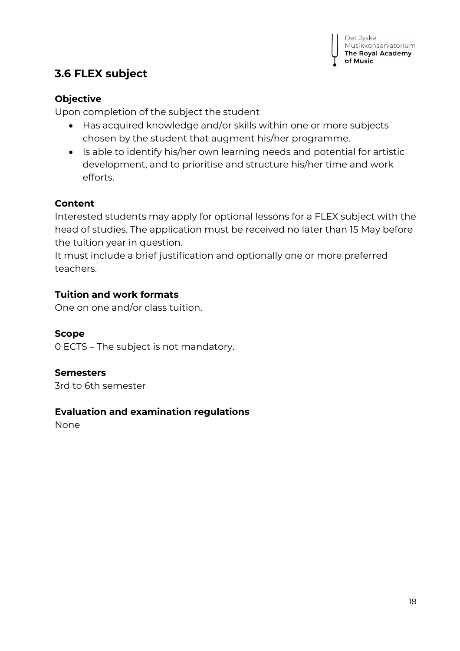## <span id="page-17-0"></span>**3.6 FLEX subject**

#### **Objective**

Upon completion of the subject the student

- Has acquired knowledge and/or skills within one or more subjects chosen by the student that augment his/her programme.
- Is able to identify his/her own learning needs and potential for artistic development, and to prioritise and structure his/her time and work efforts.

#### **Content**

Interested students may apply for optional lessons for a FLEX subject with the head of studies. The application must be received no later than 15 May before the tuition year in question.

It must include a brief justification and optionally one or more preferred teachers.

#### **Tuition and work formats**

One on one and/or class tuition.

#### **Scope**

0 ECTS – The subject is not mandatory.

#### **Semesters**

3rd to 6th semester

#### **Evaluation and examination regulations**

None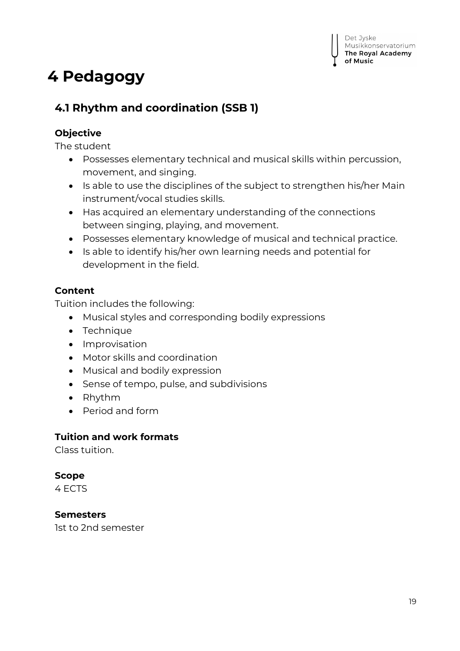## <span id="page-18-0"></span>**4 Pedagogy**

## <span id="page-18-1"></span>**4.1 Rhythm and coordination (SSB 1)**

#### **Objective**

The student

- Possesses elementary technical and musical skills within percussion, movement, and singing.
- Is able to use the disciplines of the subject to strengthen his/her Main instrument/vocal studies skills.
- Has acquired an elementary understanding of the connections between singing, playing, and movement.
- Possesses elementary knowledge of musical and technical practice.
- Is able to identify his/her own learning needs and potential for development in the field.

#### **Content**

Tuition includes the following:

- Musical styles and corresponding bodily expressions
- Technique
- Improvisation
- Motor skills and coordination
- Musical and bodily expression
- Sense of tempo, pulse, and subdivisions
- Rhythm
- Period and form

#### **Tuition and work formats**

Class tuition.

#### **Scope**

4 ECTS

#### **Semesters**

1st to 2nd semester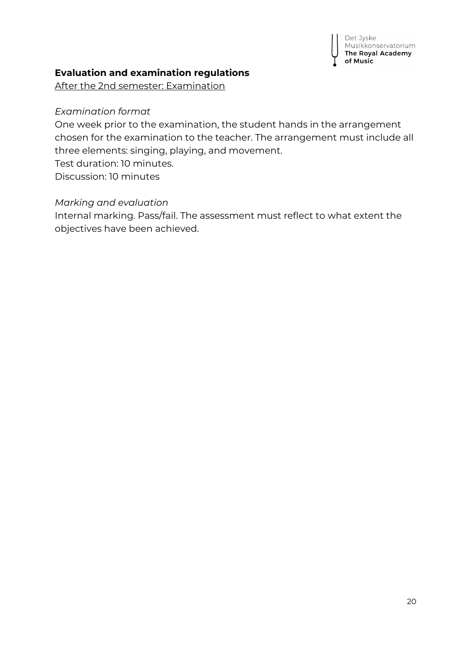

#### **Evaluation and examination regulations**

After the 2nd semester: Examination

#### *Examination format*

One week prior to the examination, the student hands in the arrangement chosen for the examination to the teacher. The arrangement must include all three elements: singing, playing, and movement. Test duration: 10 minutes. Discussion: 10 minutes

#### *Marking and evaluation*

Internal marking. Pass/fail. The assessment must reflect to what extent the objectives have been achieved.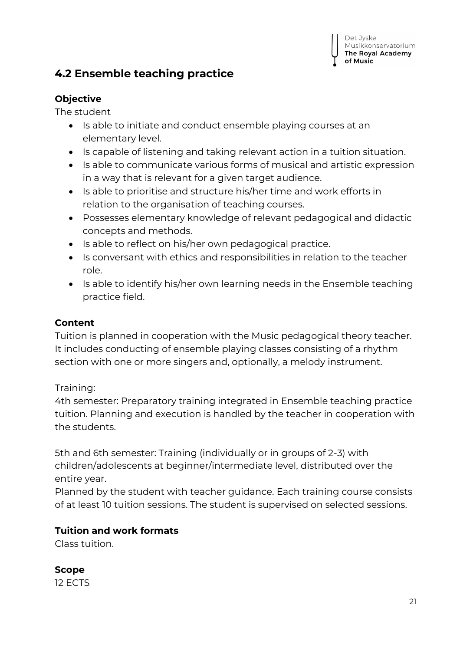## <span id="page-20-0"></span>**4.2 Ensemble teaching practice**

#### **Objective**

The student

- Is able to initiate and conduct ensemble playing courses at an elementary level.
- **IS capable of listening and taking relevant action in a tuition situation.**
- Is able to communicate various forms of musical and artistic expression in a way that is relevant for a given target audience.
- Is able to prioritise and structure his/her time and work efforts in relation to the organisation of teaching courses.
- Possesses elementary knowledge of relevant pedagogical and didactic concepts and methods.
- Is able to reflect on his/her own pedagogical practice.
- Is conversant with ethics and responsibilities in relation to the teacher role.
- Is able to identify his/her own learning needs in the Ensemble teaching practice field.

#### **Content**

Tuition is planned in cooperation with the Music pedagogical theory teacher. It includes conducting of ensemble playing classes consisting of a rhythm section with one or more singers and, optionally, a melody instrument.

#### Training:

4th semester: Preparatory training integrated in Ensemble teaching practice tuition. Planning and execution is handled by the teacher in cooperation with the students.

5th and 6th semester: Training (individually or in groups of 2-3) with children/adolescents at beginner/intermediate level, distributed over the entire year.

Planned by the student with teacher guidance. Each training course consists of at least 10 tuition sessions. The student is supervised on selected sessions.

#### **Tuition and work formats**

Class tuition.

**Scope**

12 ECTS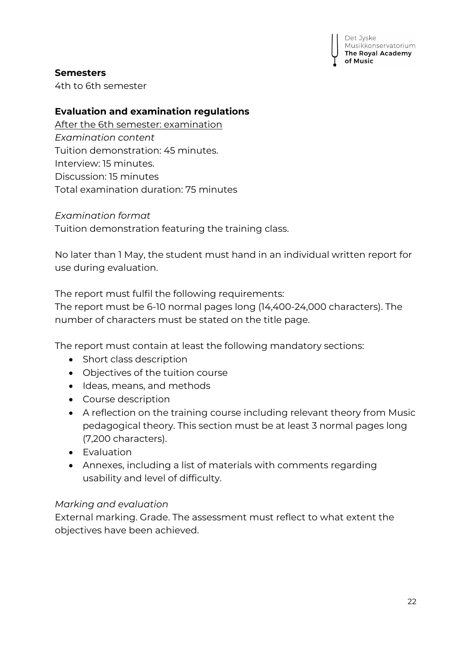

#### **Semesters**

4th to 6th semester

#### **Evaluation and examination regulations**

After the 6th semester: examination *Examination content* Tuition demonstration: 45 minutes. Interview: 15 minutes. Discussion: 15 minutes Total examination duration: 75 minutes

*Examination format* Tuition demonstration featuring the training class.

No later than 1 May, the student must hand in an individual written report for use during evaluation.

The report must fulfil the following requirements: The report must be 6-10 normal pages long (14,400-24,000 characters). The number of characters must be stated on the title page.

The report must contain at least the following mandatory sections:

- Short class description
- Objectives of the tuition course
- Ideas, means, and methods
- Course description
- A reflection on the training course including relevant theory from Music pedagogical theory. This section must be at least 3 normal pages long (7,200 characters).
- Evaluation
- Annexes, including a list of materials with comments regarding usability and level of difficulty.

#### *Marking and evaluation*

External marking. Grade. The assessment must reflect to what extent the objectives have been achieved.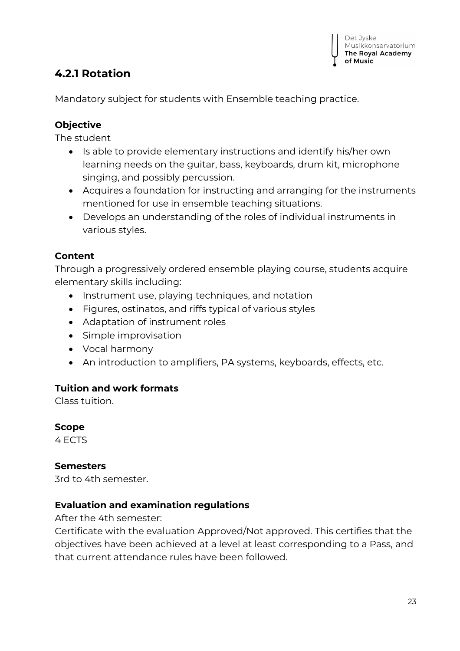## <span id="page-22-0"></span>**4.2.1 Rotation**

Mandatory subject for students with Ensemble teaching practice.

#### **Objective**

The student

- $\bullet$  Is able to provide elementary instructions and identify his/her own learning needs on the guitar, bass, keyboards, drum kit, microphone singing, and possibly percussion.
- Acquires a foundation for instructing and arranging for the instruments mentioned for use in ensemble teaching situations.
- Develops an understanding of the roles of individual instruments in various styles.

## **Content**

Through a progressively ordered ensemble playing course, students acquire elementary skills including:

- Instrument use, playing techniques, and notation
- Figures, ostinatos, and riffs typical of various styles
- Adaptation of instrument roles
- Simple improvisation
- Vocal harmony
- An introduction to amplifiers, PA systems, keyboards, effects, etc.

#### **Tuition and work formats**

Class tuition.

**Scope**

4 ECTS

#### **Semesters**

3rd to 4th semester.

#### **Evaluation and examination regulations**

After the 4th semester:

Certificate with the evaluation Approved/Not approved. This certifies that the objectives have been achieved at a level at least corresponding to a Pass, and that current attendance rules have been followed.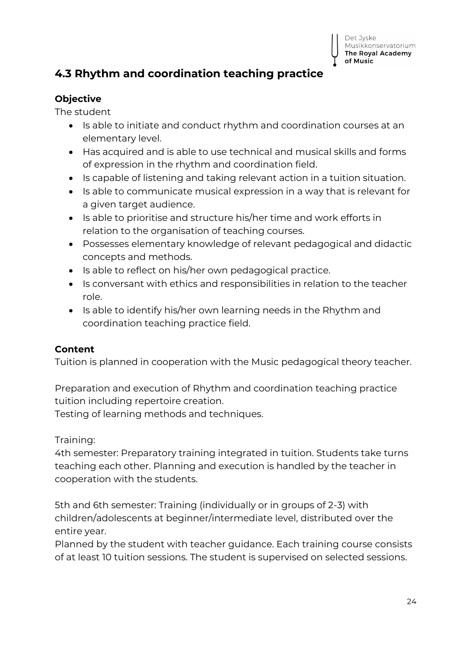## <span id="page-23-0"></span>**4.3 Rhythm and coordination teaching practice**

#### **Objective**

The student

- Is able to initiate and conduct rhythm and coordination courses at an elementary level.
- Has acquired and is able to use technical and musical skills and forms of expression in the rhythm and coordination field.
- Is capable of listening and taking relevant action in a tuition situation.
- Is able to communicate musical expression in a way that is relevant for a given target audience.
- Is able to prioritise and structure his/her time and work efforts in relation to the organisation of teaching courses.
- Possesses elementary knowledge of relevant pedagogical and didactic concepts and methods.
- Is able to reflect on his/her own pedagogical practice.
- Is conversant with ethics and responsibilities in relation to the teacher role.
- Is able to identify his/her own learning needs in the Rhythm and coordination teaching practice field.

#### **Content**

Tuition is planned in cooperation with the Music pedagogical theory teacher.

Preparation and execution of Rhythm and coordination teaching practice tuition including repertoire creation.

Testing of learning methods and techniques.

Training:

4th semester: Preparatory training integrated in tuition. Students take turns teaching each other. Planning and execution is handled by the teacher in cooperation with the students.

5th and 6th semester: Training (individually or in groups of 2-3) with children/adolescents at beginner/intermediate level, distributed over the entire year.

Planned by the student with teacher guidance. Each training course consists of at least 10 tuition sessions. The student is supervised on selected sessions.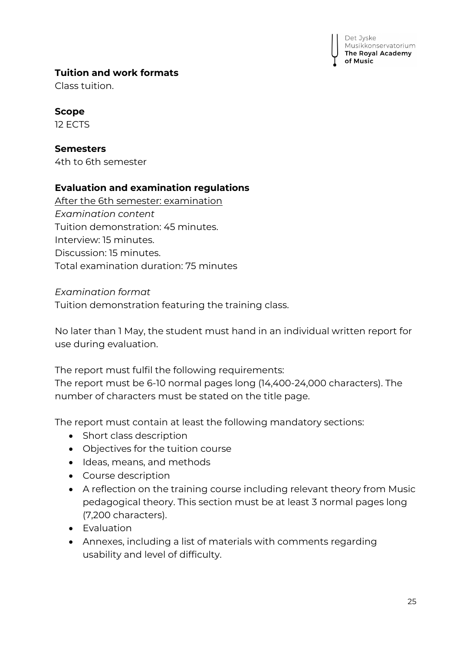## **Tuition and work formats**

Class tuition.

## **Scope**

12 ECTS

## **Semesters**

4th to 6th semester

## **Evaluation and examination regulations**

After the 6th semester: examination *Examination content* Tuition demonstration: 45 minutes. Interview: 15 minutes. Discussion: 15 minutes. Total examination duration: 75 minutes

#### *Examination format*

Tuition demonstration featuring the training class.

No later than 1 May, the student must hand in an individual written report for use during evaluation.

The report must fulfil the following requirements: The report must be 6-10 normal pages long (14,400-24,000 characters). The number of characters must be stated on the title page.

The report must contain at least the following mandatory sections:

- Short class description
- Objectives for the tuition course
- Ideas, means, and methods
- Course description
- A reflection on the training course including relevant theory from Music pedagogical theory. This section must be at least 3 normal pages long (7,200 characters).
- Evaluation
- Annexes, including a list of materials with comments regarding usability and level of difficulty.

Det Jyske Musikkonservatorium The Royal Academy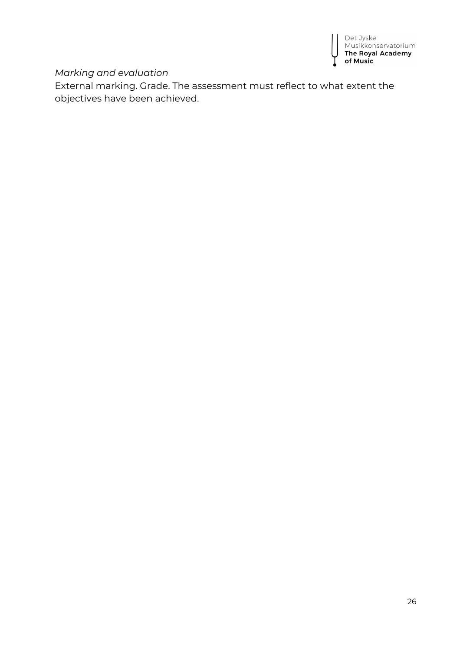

#### *Marking and evaluation*

External marking. Grade. The assessment must reflect to what extent the objectives have been achieved.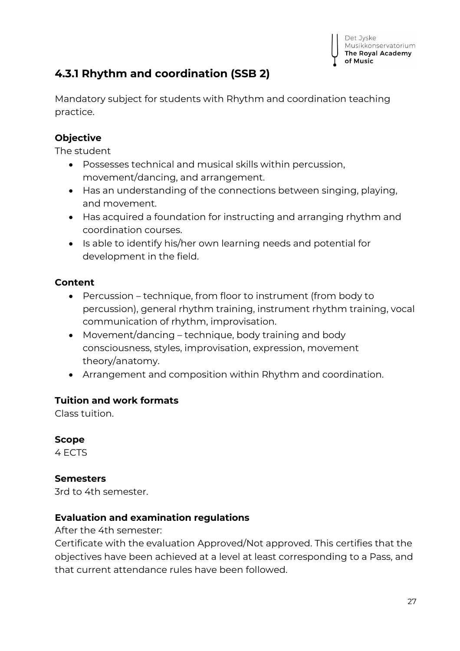## <span id="page-26-0"></span>**4.3.1 Rhythm and coordination (SSB 2)**

Mandatory subject for students with Rhythm and coordination teaching practice.

#### **Objective**

The student

- Possesses technical and musical skills within percussion, movement/dancing, and arrangement.
- Has an understanding of the connections between singing, playing, and movement.
- Has acquired a foundation for instructing and arranging rhythm and coordination courses.
- Is able to identify his/her own learning needs and potential for development in the field.

#### **Content**

- Percussion technique, from floor to instrument (from body to percussion), general rhythm training, instrument rhythm training, vocal communication of rhythm, improvisation.
- Movement/dancing technique, body training and body consciousness, styles, improvisation, expression, movement theory/anatomy.
- Arrangement and composition within Rhythm and coordination.

#### **Tuition and work formats**

Class tuition.

#### **Scope**

4 ECTS

#### **Semesters**

3rd to 4th semester.

#### **Evaluation and examination regulations**

After the 4th semester:

Certificate with the evaluation Approved/Not approved. This certifies that the objectives have been achieved at a level at least corresponding to a Pass, and that current attendance rules have been followed.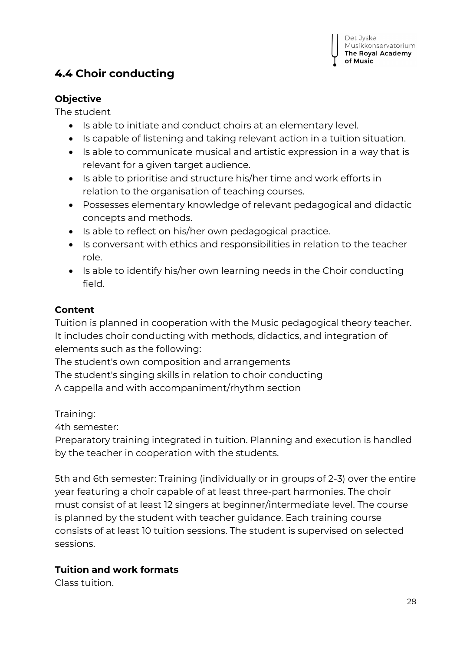## <span id="page-27-0"></span>**4.4 Choir conducting**

#### **Objective**

The student

- Is able to initiate and conduct choirs at an elementary level.
- Is capable of listening and taking relevant action in a tuition situation.
- Is able to communicate musical and artistic expression in a way that is relevant for a given target audience.
- Is able to prioritise and structure his/her time and work efforts in relation to the organisation of teaching courses.
- Possesses elementary knowledge of relevant pedagogical and didactic concepts and methods.
- Is able to reflect on his/her own pedagogical practice.
- Is conversant with ethics and responsibilities in relation to the teacher role.
- Is able to identify his/her own learning needs in the Choir conducting field.

#### **Content**

Tuition is planned in cooperation with the Music pedagogical theory teacher. It includes choir conducting with methods, didactics, and integration of elements such as the following:

The student's own composition and arrangements The student's singing skills in relation to choir conducting A cappella and with accompaniment/rhythm section

Training:

4th semester:

Preparatory training integrated in tuition. Planning and execution is handled by the teacher in cooperation with the students.

5th and 6th semester: Training (individually or in groups of 2-3) over the entire year featuring a choir capable of at least three-part harmonies. The choir must consist of at least 12 singers at beginner/intermediate level. The course is planned by the student with teacher guidance. Each training course consists of at least 10 tuition sessions. The student is supervised on selected sessions.

#### **Tuition and work formats**

Class tuition.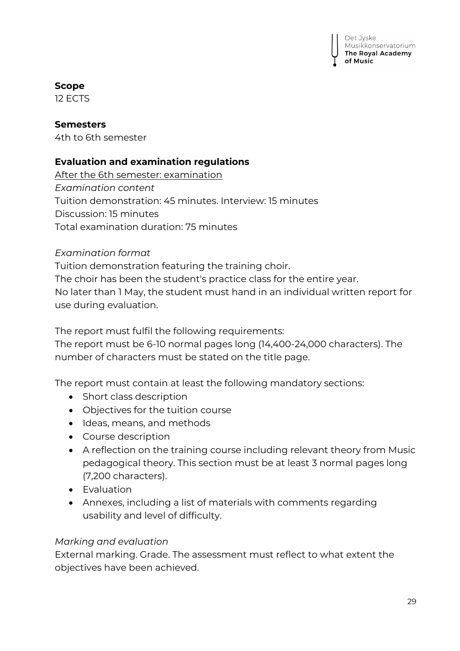Det Jyske Musikkonservatorium The Royal Academy

#### **Scope**

12 ECTS

#### **Semesters**

4th to 6th semester

#### **Evaluation and examination regulations**

After the 6th semester: examination *Examination content* Tuition demonstration: 45 minutes. Interview: 15 minutes Discussion: 15 minutes Total examination duration: 75 minutes

#### *Examination format*

Tuition demonstration featuring the training choir. The choir has been the student's practice class for the entire year. No later than 1 May, the student must hand in an individual written report for use during evaluation.

The report must fulfil the following requirements:

The report must be 6-10 normal pages long (14,400-24,000 characters). The number of characters must be stated on the title page.

The report must contain at least the following mandatory sections:

- Short class description
- Objectives for the tuition course
- Ideas, means, and methods
- Course description
- A reflection on the training course including relevant theory from Music pedagogical theory. This section must be at least 3 normal pages long (7,200 characters).
- Evaluation
- Annexes, including a list of materials with comments regarding usability and level of difficulty.

#### *Marking and evaluation*

External marking. Grade. The assessment must reflect to what extent the objectives have been achieved.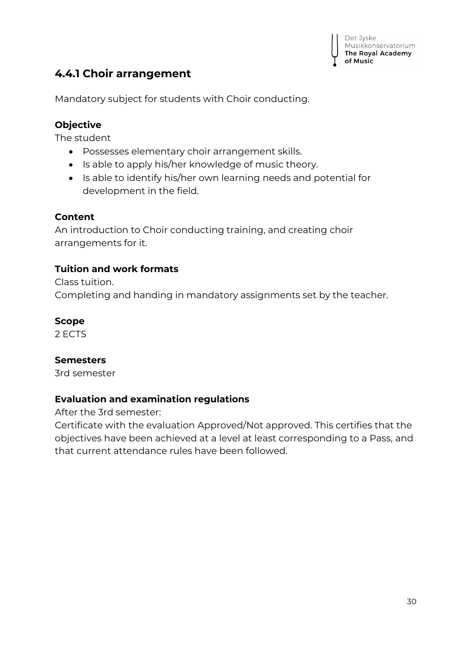## <span id="page-29-0"></span>**4.4.1 Choir arrangement**

Mandatory subject for students with Choir conducting.

#### **Objective**

The student

- Possesses elementary choir arrangement skills.
- Is able to apply his/her knowledge of music theory.
- Is able to identify his/her own learning needs and potential for development in the field.

#### **Content**

An introduction to Choir conducting training, and creating choir arrangements for it.

#### **Tuition and work formats**

Class tuition. Completing and handing in mandatory assignments set by the teacher.

#### **Scope**

2 ECTS

#### **Semesters**

3rd semester

#### **Evaluation and examination regulations**

After the 3rd semester:

Certificate with the evaluation Approved/Not approved. This certifies that the objectives have been achieved at a level at least corresponding to a Pass, and that current attendance rules have been followed.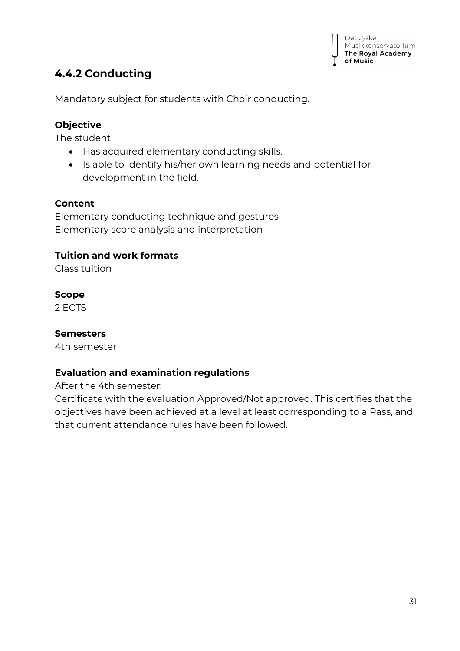## <span id="page-30-0"></span>**4.4.2 Conducting**

Mandatory subject for students with Choir conducting.

#### **Objective**

The student

- Has acquired elementary conducting skills.
- Is able to identify his/her own learning needs and potential for development in the field.

#### **Content**

Elementary conducting technique and gestures Elementary score analysis and interpretation

#### **Tuition and work formats**

Class tuition

#### **Scope**

2 ECTS

#### **Semesters**

4th semester

#### **Evaluation and examination regulations**

After the 4th semester:

Certificate with the evaluation Approved/Not approved. This certifies that the objectives have been achieved at a level at least corresponding to a Pass, and that current attendance rules have been followed.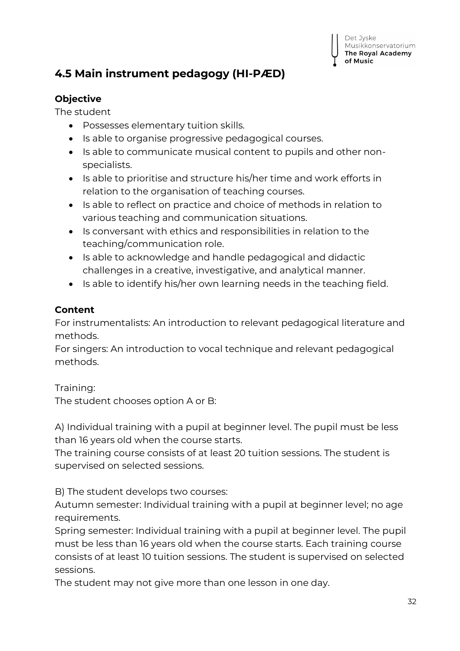

## <span id="page-31-0"></span>**4.5 Main instrument pedagogy (HI-PÆD)**

#### **Objective**

The student

- Possesses elementary tuition skills.
- Is able to organise progressive pedagogical courses.
- Is able to communicate musical content to pupils and other nonspecialists.
- Is able to prioritise and structure his/her time and work efforts in relation to the organisation of teaching courses.
- Is able to reflect on practice and choice of methods in relation to various teaching and communication situations.
- Is conversant with ethics and responsibilities in relation to the teaching/communication role.
- Is able to acknowledge and handle pedagogical and didactic challenges in a creative, investigative, and analytical manner.
- $\bullet$  Is able to identify his/her own learning needs in the teaching field.

#### **Content**

For instrumentalists: An introduction to relevant pedagogical literature and methods.

For singers: An introduction to vocal technique and relevant pedagogical methods.

Training:

The student chooses option A or B:

A) Individual training with a pupil at beginner level. The pupil must be less than 16 years old when the course starts.

The training course consists of at least 20 tuition sessions. The student is supervised on selected sessions.

B) The student develops two courses:

Autumn semester: Individual training with a pupil at beginner level; no age requirements.

Spring semester: Individual training with a pupil at beginner level. The pupil must be less than 16 years old when the course starts. Each training course consists of at least 10 tuition sessions. The student is supervised on selected sessions.

The student may not give more than one lesson in one day.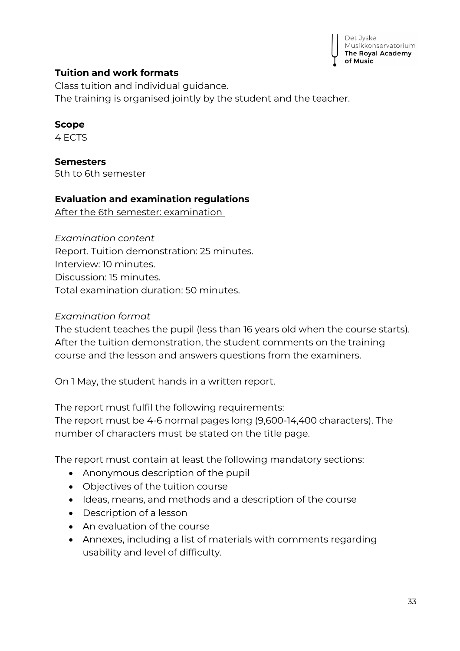

#### **Tuition and work formats**

Class tuition and individual guidance. The training is organised jointly by the student and the teacher.

#### **Scope**

4 ECTS

**Semesters** 5th to 6th semester

#### **Evaluation and examination regulations**

After the 6th semester: examination

*Examination content* Report. Tuition demonstration: 25 minutes. Interview: 10 minutes. Discussion: 15 minutes.

Total examination duration: 50 minutes.

#### *Examination format*

The student teaches the pupil (less than 16 years old when the course starts). After the tuition demonstration, the student comments on the training course and the lesson and answers questions from the examiners.

On 1 May, the student hands in a written report.

The report must fulfil the following requirements: The report must be 4-6 normal pages long (9,600-14,400 characters). The number of characters must be stated on the title page.

The report must contain at least the following mandatory sections:

- Anonymous description of the pupil
- Objectives of the tuition course
- Ideas, means, and methods and a description of the course
- Description of a lesson
- An evaluation of the course
- Annexes, including a list of materials with comments regarding usability and level of difficulty.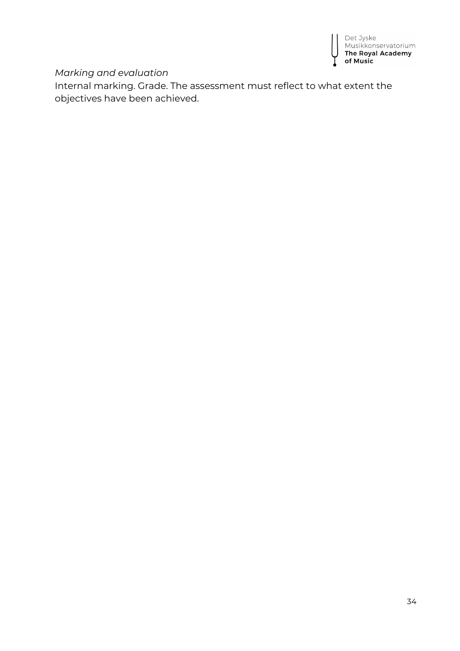

#### *Marking and evaluation*

Internal marking. Grade. The assessment must reflect to what extent the objectives have been achieved.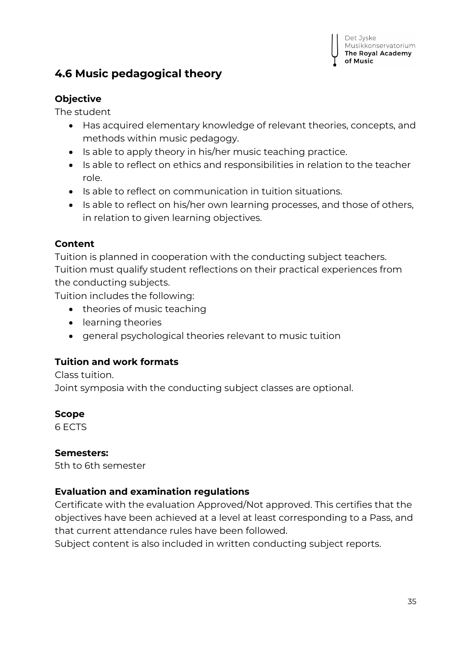

## <span id="page-34-0"></span>**4.6 Music pedagogical theory**

#### **Objective**

The student

- Has acquired elementary knowledge of relevant theories, concepts, and methods within music pedagogy.
- Is able to apply theory in his/her music teaching practice.
- Is able to reflect on ethics and responsibilities in relation to the teacher role.
- Is able to reflect on communication in tuition situations.
- $\bullet$  Is able to reflect on his/her own learning processes, and those of others, in relation to given learning objectives.

#### **Content**

Tuition is planned in cooperation with the conducting subject teachers. Tuition must qualify student reflections on their practical experiences from the conducting subjects.

Tuition includes the following:

- theories of music teaching
- learning theories
- general psychological theories relevant to music tuition

#### **Tuition and work formats**

Class tuition.

Joint symposia with the conducting subject classes are optional.

#### **Scope**

6 ECTS

#### **Semesters:**

5th to 6th semester

#### **Evaluation and examination regulations**

Certificate with the evaluation Approved/Not approved. This certifies that the objectives have been achieved at a level at least corresponding to a Pass, and that current attendance rules have been followed.

Subject content is also included in written conducting subject reports.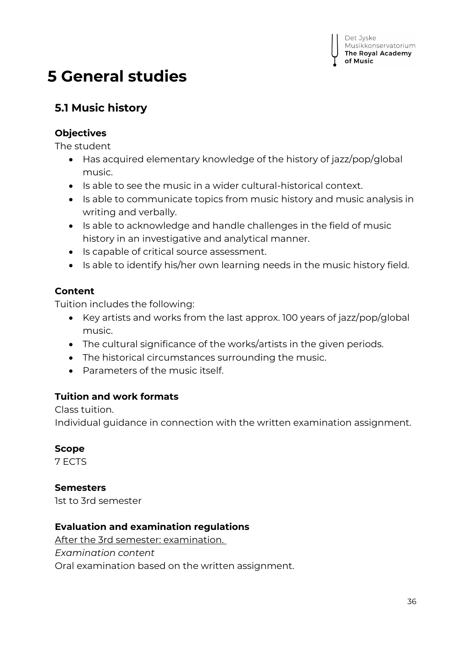## <span id="page-35-0"></span>**5 General studies**

## <span id="page-35-1"></span>**5.1 Music history**

#### **Objectives**

The student

- Has acquired elementary knowledge of the history of jazz/pop/global music.
- Is able to see the music in a wider cultural-historical context.
- Is able to communicate topics from music history and music analysis in writing and verbally.
- Is able to acknowledge and handle challenges in the field of music history in an investigative and analytical manner.
- Is capable of critical source assessment.
- Is able to identify his/her own learning needs in the music history field.

#### **Content**

Tuition includes the following:

- EXEX Key artists and works from the last approx. 100 years of jazz/pop/global music.
- The cultural significance of the works/artists in the given periods.
- The historical circumstances surrounding the music.
- Parameters of the music itself.

#### **Tuition and work formats**

Class tuition.

Individual guidance in connection with the written examination assignment.

#### **Scope**

7 ECTS

#### **Semesters**

1st to 3rd semester

#### **Evaluation and examination regulations**

After the 3rd semester: examination.

*Examination content*

Oral examination based on the written assignment.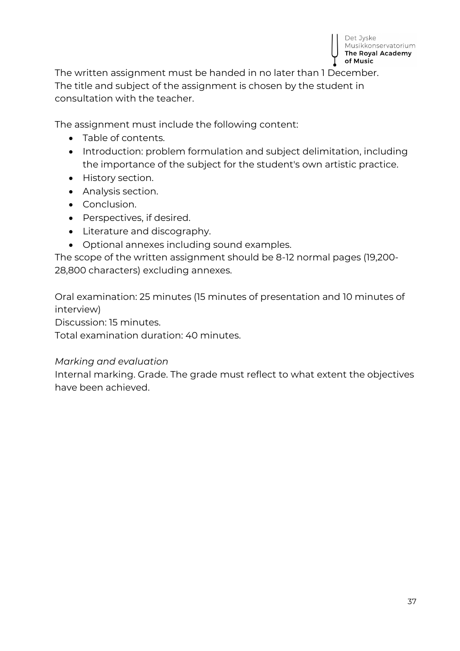

The written assignment must be handed in no later than 1 December. The title and subject of the assignment is chosen by the student in consultation with the teacher.

The assignment must include the following content:

- Table of contents.
- Introduction: problem formulation and subject delimitation, including the importance of the subject for the student's own artistic practice.
- History section.
- Analysis section.
- Conclusion.
- Perspectives, if desired.
- Literature and discography.
- Optional annexes including sound examples.

The scope of the written assignment should be 8-12 normal pages (19,200- 28,800 characters) excluding annexes.

Oral examination: 25 minutes (15 minutes of presentation and 10 minutes of interview)

Discussion: 15 minutes.

Total examination duration: 40 minutes.

#### *Marking and evaluation*

Internal marking. Grade. The grade must reflect to what extent the objectives have been achieved.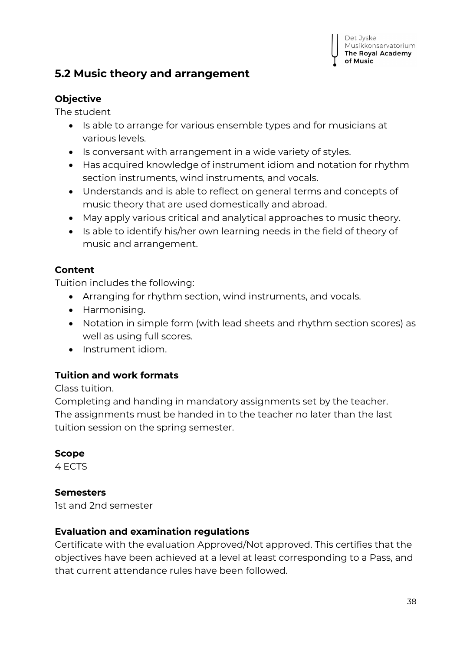## <span id="page-37-0"></span>**5.2 Music theory and arrangement**

#### **Objective**

The student

- Is able to arrange for various ensemble types and for musicians at various levels.
- Is conversant with arrangement in a wide variety of styles.
- Has acquired knowledge of instrument idiom and notation for rhythm section instruments, wind instruments, and vocals.
- Understands and is able to reflect on general terms and concepts of music theory that are used domestically and abroad.
- May apply various critical and analytical approaches to music theory.
- $\bullet$  Is able to identify his/her own learning needs in the field of theory of music and arrangement.

#### **Content**

Tuition includes the following:

- Arranging for rhythm section, wind instruments, and vocals.
- Harmonising.
- Notation in simple form (with lead sheets and rhythm section scores) as well as using full scores.
- Instrument idiom.

#### **Tuition and work formats**

Class tuition.

Completing and handing in mandatory assignments set by the teacher. The assignments must be handed in to the teacher no later than the last tuition session on the spring semester.

#### **Scope**

4 ECTS

#### **Semesters**

1st and 2nd semester

#### **Evaluation and examination regulations**

Certificate with the evaluation Approved/Not approved. This certifies that the objectives have been achieved at a level at least corresponding to a Pass, and that current attendance rules have been followed.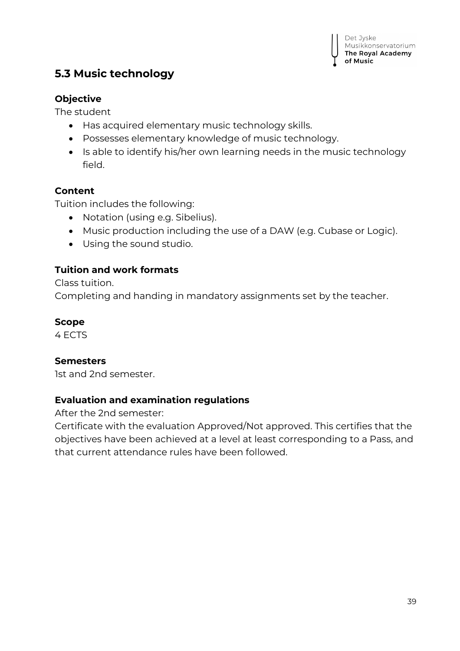## <span id="page-38-0"></span>**5.3 Music technology**

#### **Objective**

The student

- Has acquired elementary music technology skills.
- Possesses elementary knowledge of music technology.
- Is able to identify his/her own learning needs in the music technology field.

#### **Content**

Tuition includes the following:

- Notation (using e.g. Sibelius).
- Music production including the use of a DAW (e.g. Cubase or Logic).
- Using the sound studio.

#### **Tuition and work formats**

Class tuition. Completing and handing in mandatory assignments set by the teacher.

#### **Scope**

4 ECTS

#### **Semesters**

1st and 2nd semester.

#### **Evaluation and examination regulations**

After the 2nd semester:

Certificate with the evaluation Approved/Not approved. This certifies that the objectives have been achieved at a level at least corresponding to a Pass, and that current attendance rules have been followed.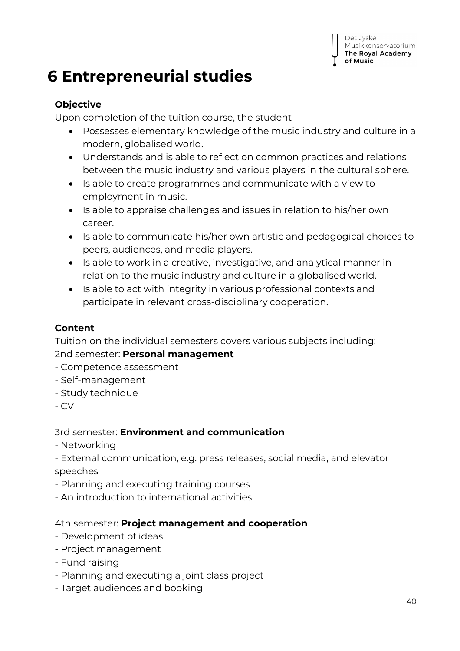## <span id="page-39-0"></span>**6 Entrepreneurial studies**

## **Objective**

Upon completion of the tuition course, the student

- Possesses elementary knowledge of the music industry and culture in a modern, globalised world.
- Understands and is able to reflect on common practices and relations between the music industry and various players in the cultural sphere.
- Is able to create programmes and communicate with a view to employment in music.
- Is able to appraise challenges and issues in relation to his/her own career.
- Is able to communicate his/her own artistic and pedagogical choices to peers, audiences, and media players.
- Is able to work in a creative, investigative, and analytical manner in relation to the music industry and culture in a globalised world.
- Is able to act with integrity in various professional contexts and participate in relevant cross-disciplinary cooperation.

### **Content**

Tuition on the individual semesters covers various subjects including:

2nd semester: **Personal management**

- Competence assessment
- Self-management
- Study technique
- CV

#### 3rd semester: **Environment and communication**

- Networking
- External communication, e.g. press releases, social media, and elevator speeches
- Planning and executing training courses
- An introduction to international activities

#### 4th semester: **Project management and cooperation**

- Development of ideas
- Project management
- Fund raising
- Planning and executing a joint class project
- Target audiences and booking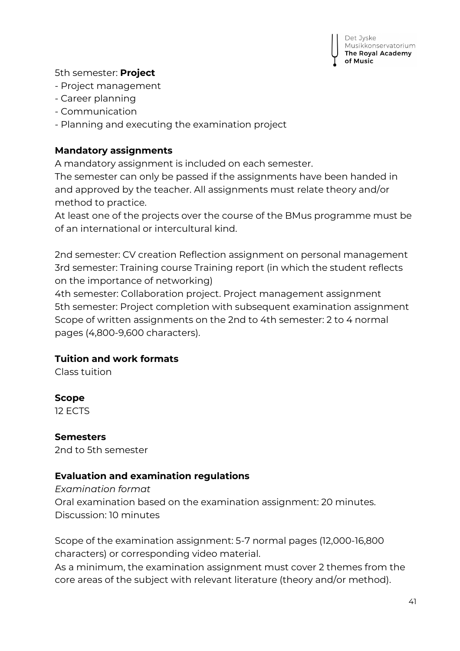

#### 5th semester: **Project**

- Project management
- Career planning
- Communication
- Planning and executing the examination project

#### **Mandatory assignments**

A mandatory assignment is included on each semester.

The semester can only be passed if the assignments have been handed in and approved by the teacher. All assignments must relate theory and/or method to practice.

At least one of the projects over the course of the BMus programme must be of an international or intercultural kind.

2nd semester: CV creation Reflection assignment on personal management 3rd semester: Training course Training report (in which the student reflects on the importance of networking)

4th semester: Collaboration project. Project management assignment 5th semester: Project completion with subsequent examination assignment Scope of written assignments on the 2nd to 4th semester: 2 to 4 normal pages (4,800-9,600 characters).

#### **Tuition and work formats**

Class tuition

#### **Scope**

12 ECTS

## **Semesters**

2nd to 5th semester

#### **Evaluation and examination regulations**

#### *Examination format* Oral examination based on the examination assignment: 20 minutes. Discussion: 10 minutes

Scope of the examination assignment: 5-7 normal pages (12,000-16,800 characters) or corresponding video material.

As a minimum, the examination assignment must cover 2 themes from the core areas of the subject with relevant literature (theory and/or method).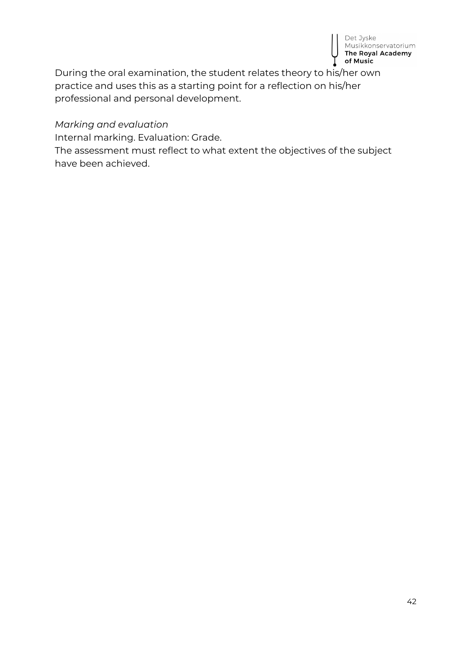

During the oral examination, the student relates theory to his/her own practice and uses this as a starting point for a reflection on his/her professional and personal development.

#### *Marking and evaluation*

Internal marking. Evaluation: Grade.

The assessment must reflect to what extent the objectives of the subject have been achieved.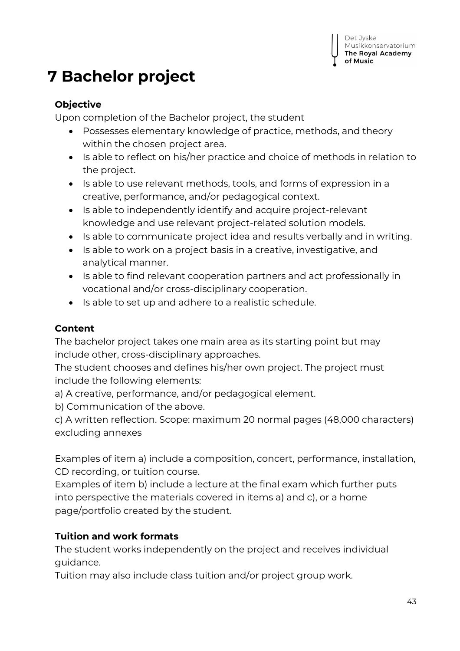## <span id="page-42-0"></span>**7 Bachelor project**

#### **Objective**

Upon completion of the Bachelor project, the student

- Possesses elementary knowledge of practice, methods, and theory within the chosen project area.
- Is able to reflect on his/her practice and choice of methods in relation to the project.
- Is able to use relevant methods, tools, and forms of expression in a creative, performance, and/or pedagogical context.
- Is able to independently identify and acquire project-relevant knowledge and use relevant project-related solution models.
- Is able to communicate project idea and results verbally and in writing.
- Is able to work on a project basis in a creative, investigative, and analytical manner.
- Is able to find relevant cooperation partners and act professionally in vocational and/or cross-disciplinary cooperation.
- Is able to set up and adhere to a realistic schedule.

### **Content**

The bachelor project takes one main area as its starting point but may include other, cross-disciplinary approaches.

The student chooses and defines his/her own project. The project must include the following elements:

a) A creative, performance, and/or pedagogical element.

b) Communication of the above.

c) A written reflection. Scope: maximum 20 normal pages (48,000 characters) excluding annexes

Examples of item a) include a composition, concert, performance, installation, CD recording, or tuition course.

Examples of item b) include a lecture at the final exam which further puts into perspective the materials covered in items a) and c), or a home page/portfolio created by the student.

## **Tuition and work formats**

The student works independently on the project and receives individual guidance.

Tuition may also include class tuition and/or project group work.